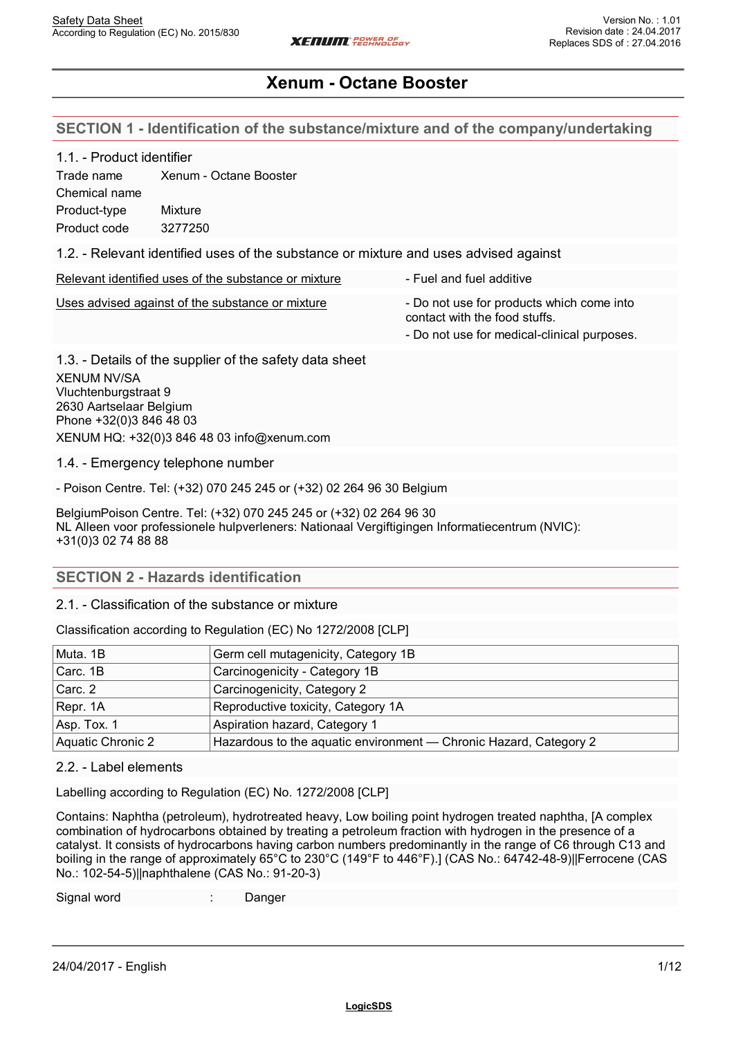### **SECTION 1 - Identification of the substance/mixture and of the company/undertaking**

#### 1.1. - Product identifier

Trade name Xenum - Octane Booster Chemical name Product-type Mixture Product code 3277250

1.2. - Relevant identified uses of the substance or mixture and uses advised against

Relevant identified uses of the substance or mixture  $\overline{\phantom{a}}$  - Fuel and fuel additive

Uses advised against of the substance or mixture - Do not use for products which come into

contact with the food stuffs.

- Do not use for medical-clinical purposes.

1.3. - Details of the supplier of the safety data sheet XENUM NV/SA Vluchtenburgstraat 9 2630 Aartselaar Belgium Phone +32(0)3 846 48 03 XENUM HQ: +32(0)3 846 48 03 info@xenum.com

1.4. - Emergency telephone number

- Poison Centre. Tel: (+32) 070 245 245 or (+32) 02 264 96 30 Belgium

BelgiumPoison Centre. Tel: (+32) 070 245 245 or (+32) 02 264 96 30 NL Alleen voor professionele hulpverleners: Nationaal Vergiftigingen Informatiecentrum (NVIC): +31(0)3 02 74 88 88

### **SECTION 2 - Hazards identification**

2.1. - Classification of the substance or mixture

Classification according to Regulation (EC) No 1272/2008 [CLP]

| Muta. 1B          | Germ cell mutagenicity, Category 1B                               |
|-------------------|-------------------------------------------------------------------|
| Carc. 1B          | Carcinogenicity - Category 1B                                     |
| Carc. 2           | Carcinogenicity, Category 2                                       |
| Repr. 1A          | Reproductive toxicity, Category 1A                                |
| Asp. Tox. 1       | Aspiration hazard, Category 1                                     |
| Aquatic Chronic 2 | Hazardous to the aquatic environment - Chronic Hazard, Category 2 |

### 2.2. - Label elements

Labelling according to Regulation (EC) No. 1272/2008 [CLP]

Contains: Naphtha (petroleum), hydrotreated heavy, Low boiling point hydrogen treated naphtha, [A complex combination of hydrocarbons obtained by treating a petroleum fraction with hydrogen in the presence of a catalyst. It consists of hydrocarbons having carbon numbers predominantly in the range of C6 through C13 and boiling in the range of approximately 65°C to 230°C (149°F to 446°F).] (CAS No.: 64742-48-9)||Ferrocene (CAS No.: 102-54-5)||naphthalene (CAS No.: 91-20-3)

Signal word : Danger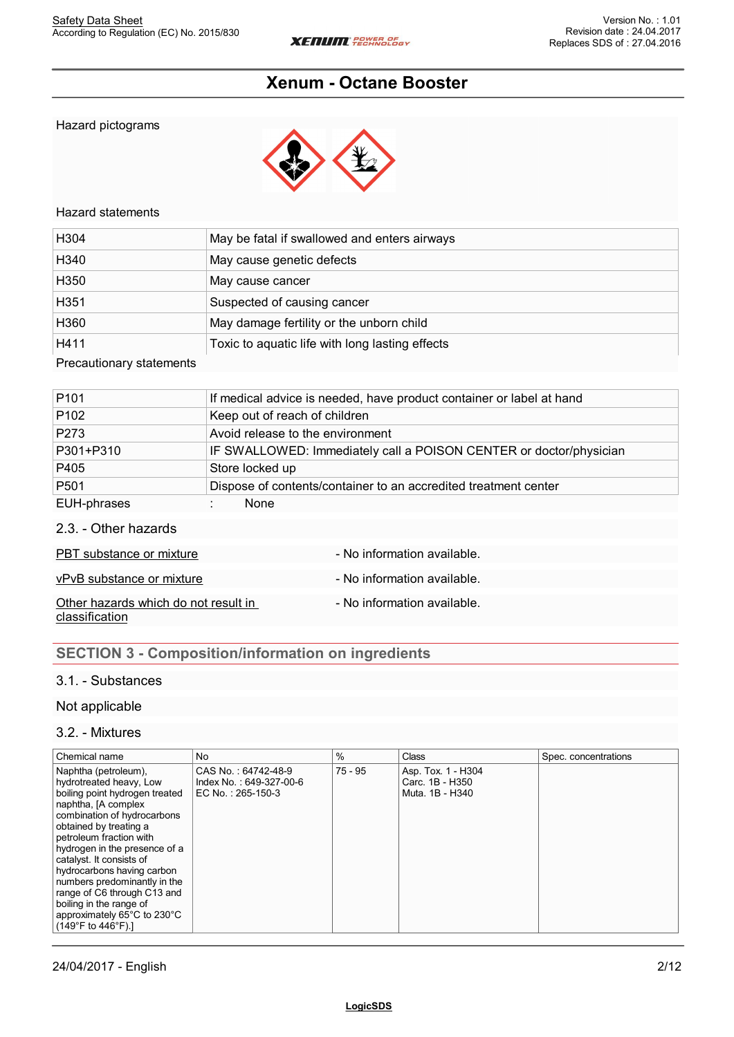Hazard pictograms



### Hazard statements

| H304                     | May be fatal if swallowed and enters airways    |
|--------------------------|-------------------------------------------------|
| H340                     | May cause genetic defects                       |
| H350                     | May cause cancer                                |
| H <sub>351</sub>         | Suspected of causing cancer                     |
| H360                     | May damage fertility or the unborn child        |
| H411                     | Toxic to aquatic life with long lasting effects |
| Precautionary statements |                                                 |

| P <sub>101</sub> | If medical advice is needed, have product container or label at hand |
|------------------|----------------------------------------------------------------------|
| P <sub>102</sub> | Keep out of reach of children                                        |
| P273             | Avoid release to the environment                                     |
| P301+P310        | IF SWALLOWED: Immediately call a POISON CENTER or doctor/physician   |
| P405             | Store locked up                                                      |
| P501             | Dispose of contents/container to an accredited treatment center      |
| EUH-phrases      | <b>None</b>                                                          |
|                  |                                                                      |

2.3. - Other hazards

| PBT substance or mixture                               | - No information available. |
|--------------------------------------------------------|-----------------------------|
| vPvB substance or mixture                              | - No information available. |
| Other hazards which do not result in<br>classification | - No information available. |

# **SECTION 3 - Composition/information on ingredients**

## 3.1. - Substances

### Not applicable

#### 3.2. - Mixtures

| Chemical name                                                                                                                                                                                                                                                                                                                                                                                                                                                   | <b>No</b>                                                           | $\%$    | Class                                                    | Spec. concentrations |
|-----------------------------------------------------------------------------------------------------------------------------------------------------------------------------------------------------------------------------------------------------------------------------------------------------------------------------------------------------------------------------------------------------------------------------------------------------------------|---------------------------------------------------------------------|---------|----------------------------------------------------------|----------------------|
| Naphtha (petroleum),<br>hydrotreated heavy, Low<br>boiling point hydrogen treated<br>naphtha, [A complex<br>combination of hydrocarbons<br>obtained by treating a<br>petroleum fraction with<br>hydrogen in the presence of a<br>catalyst. It consists of<br>hydrocarbons having carbon<br>numbers predominantly in the<br>range of C6 through C13 and<br>boiling in the range of<br>approximately 65°C to 230°C<br>$(149^{\circ}F \text{ to } 446^{\circ}F)$ . | CAS No.: 64742-48-9<br>Index No.: 649-327-00-6<br>EC No.: 265-150-3 | 75 - 95 | Asp. Tox. 1 - H304<br>Carc. 1B - H350<br>Muta, 1B - H340 |                      |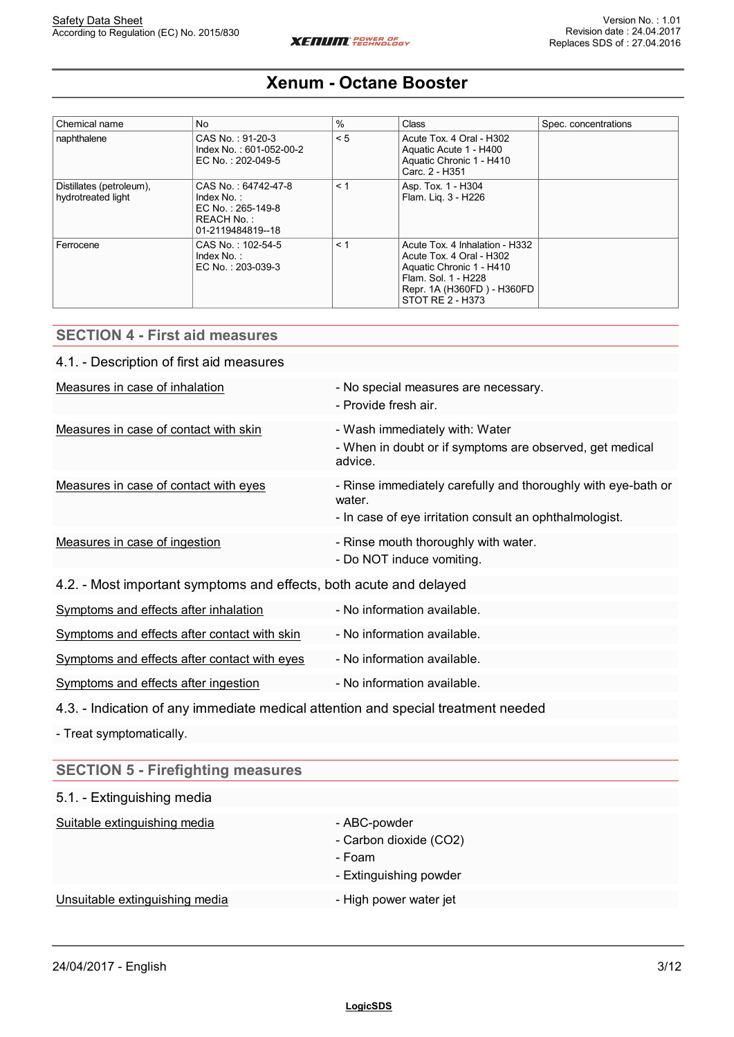| Chemical name                                  | <b>No</b>                                                                                    | $\%$  | <b>Class</b>                                                                                                                                                    | Spec. concentrations |
|------------------------------------------------|----------------------------------------------------------------------------------------------|-------|-----------------------------------------------------------------------------------------------------------------------------------------------------------------|----------------------|
| naphthalene                                    | CAS No.: 91-20-3<br>Index No.: 601-052-00-2<br>EC No.: 202-049-5                             | < 5   | Acute Tox. 4 Oral - H302<br>Aquatic Acute 1 - H400<br>Aquatic Chronic 1 - H410<br>Carc. 2 - H351                                                                |                      |
| Distillates (petroleum),<br>hydrotreated light | CAS No.: 64742-47-8<br>Index $No.$ :<br>EC No.: 265-149-8<br>REACH No.:<br>01-2119484819--18 | $<$ 1 | Asp. Tox. 1 - H304<br>Flam. Lig. 3 - H226                                                                                                                       |                      |
| Ferrocene                                      | CAS No.: 102-54-5<br>Index $No.$ :<br>EC No.: 203-039-3                                      | $<$ 1 | Acute Tox. 4 Inhalation - H332<br>Acute Tox. 4 Oral - H302<br>Aquatic Chronic 1 - H410<br>Flam, Sol. 1 - H228<br>Repr. 1A (H360FD) - H360FD<br>STOT RE 2 - H373 |                      |

# **SECTION 4 - First aid measures** 4.1. - Description of first aid measures Measures in case of inhalation  $\blacksquare$  - No special measures are necessary. - Provide fresh air. Measures in case of contact with skin - Wash immediately with: Water - When in doubt or if symptoms are observed, get medical advice. Measures in case of contact with eyes - Rinse immediately carefully and thoroughly with eye-bath or water. - In case of eye irritation consult an ophthalmologist. Measures in case of ingestion  $\blacksquare$  - Rinse mouth thoroughly with water. - Do NOT induce vomiting. 4.2. - Most important symptoms and effects, both acute and delayed Symptoms and effects after inhalation - No information available. Symptoms and effects after contact with skin - No information available. Symptoms and effects after contact with eyes - No information available. Symptoms and effects after ingestion - No information available.

### 4.3. - Indication of any immediate medical attention and special treatment needed

- Treat symptomatically.

| <b>SECTION 5 - Firefighting measures</b> |                                                                            |
|------------------------------------------|----------------------------------------------------------------------------|
| 5.1. - Extinguishing media               |                                                                            |
| Suitable extinguishing media             | - ABC-powder<br>- Carbon dioxide (CO2)<br>- Foam<br>- Extinguishing powder |
| Unsuitable extinguishing media           | - High power water jet                                                     |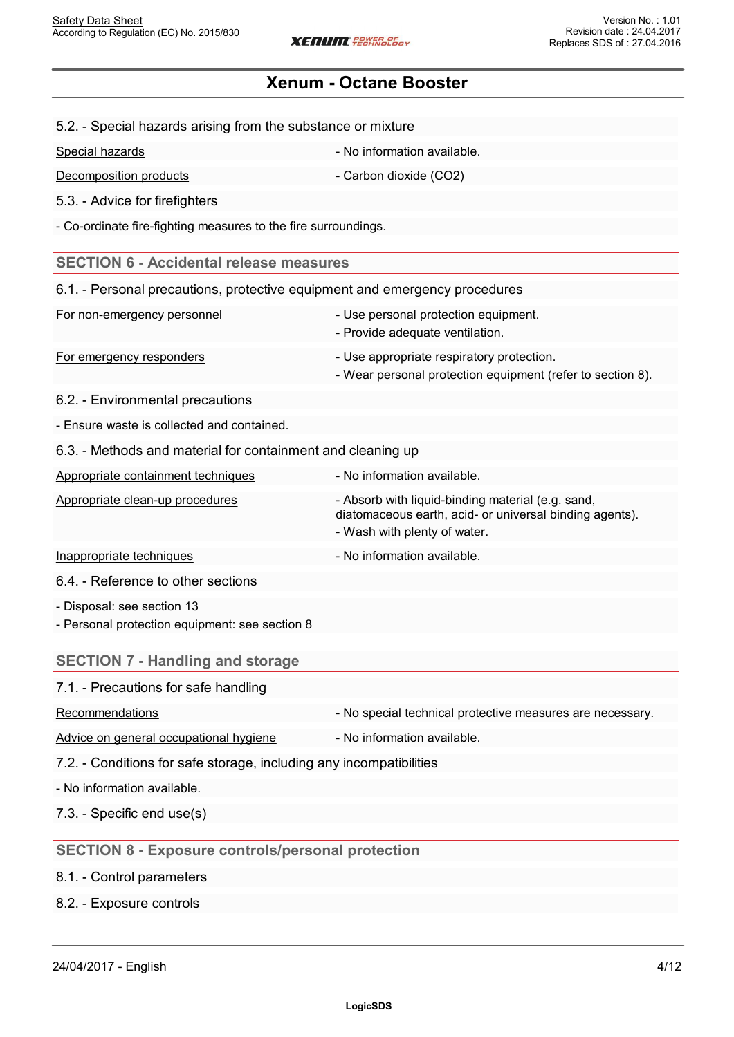|  | 5.2. - Special hazards arising from the substance or mixture |  |
|--|--------------------------------------------------------------|--|
|  |                                                              |  |

| Special hazards        | - No information available. |
|------------------------|-----------------------------|
| Decomposition products | - Carbon dioxide (CO2)      |

5.3. - Advice for firefighters

- Co-ordinate fire-fighting measures to the fire surroundings.

### **SECTION 6 - Accidental release measures**

| 6.1. - Personal precautions, protective equipment and emergency procedures |                                                                                                         |
|----------------------------------------------------------------------------|---------------------------------------------------------------------------------------------------------|
| For non-emergency personnel                                                | - Use personal protection equipment.<br>- Provide adequate ventilation.                                 |
| For emergency responders                                                   | - Use appropriate respiratory protection.<br>- Wear personal protection equipment (refer to section 8). |

6.2. - Environmental precautions

- Ensure waste is collected and contained.

6.3. - Methods and material for containment and cleaning up

| Appropriate containment techniques | - No information available.                                                                                                                  |
|------------------------------------|----------------------------------------------------------------------------------------------------------------------------------------------|
| Appropriate clean-up procedures    | - Absorb with liquid-binding material (e.g. sand,<br>diatomaceous earth, acid- or universal binding agents).<br>- Wash with plenty of water. |
| Inappropriate techniques           | - No information available.                                                                                                                  |
| .                                  |                                                                                                                                              |

6.4. - Reference to other sections

- Disposal: see section 13

- Personal protection equipment: see section 8

## **SECTION 7 - Handling and storage**

### 7.1. - Precautions for safe handling

| Recommendations<br>- No special technical protective measures are necessary. |
|------------------------------------------------------------------------------|
|------------------------------------------------------------------------------|

Advice on general occupational hygiene - No information available.

7.2. - Conditions for safe storage, including any incompatibilities

- No information available.

7.3. - Specific end use(s)

## **SECTION 8 - Exposure controls/personal protection**

### 8.1. - Control parameters

## 8.2. - Exposure controls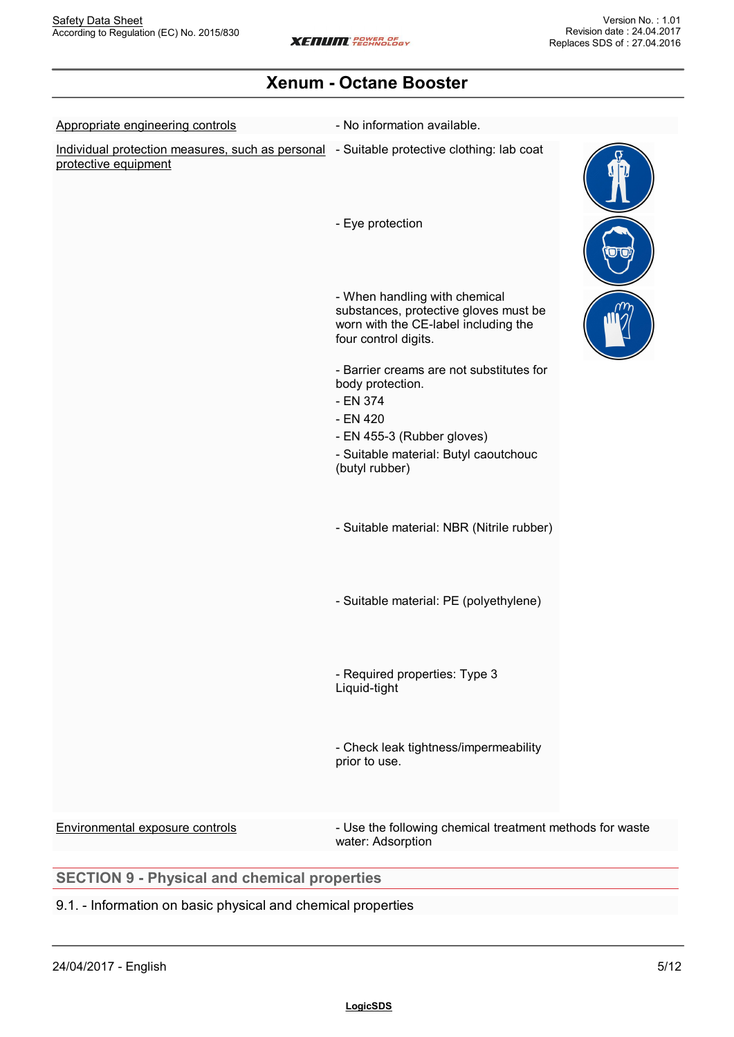| Appropriate engineering controls                                                                                  | - No information available.                                                                                                            |  |
|-------------------------------------------------------------------------------------------------------------------|----------------------------------------------------------------------------------------------------------------------------------------|--|
| Individual protection measures, such as personal - Suitable protective clothing: lab coat<br>protective equipment |                                                                                                                                        |  |
|                                                                                                                   | - Eye protection                                                                                                                       |  |
|                                                                                                                   | - When handling with chemical<br>substances, protective gloves must be<br>worn with the CE-label including the<br>four control digits. |  |
|                                                                                                                   | - Barrier creams are not substitutes for<br>body protection.<br>- EN 374<br>- EN 420                                                   |  |
|                                                                                                                   | - EN 455-3 (Rubber gloves)<br>- Suitable material: Butyl caoutchouc<br>(butyl rubber)                                                  |  |
|                                                                                                                   | - Suitable material: NBR (Nitrile rubber)                                                                                              |  |
|                                                                                                                   | - Suitable material: PE (polyethylene)                                                                                                 |  |
|                                                                                                                   | - Required properties: Type 3<br>Liquid-tight                                                                                          |  |
|                                                                                                                   | - Check leak tightness/impermeability<br>prior to use.                                                                                 |  |
| Environmental exposure controls                                                                                   | - Use the following chemical treatment methods for waste<br>water: Adsorption                                                          |  |

# 9.1. - Information on basic physical and chemical properties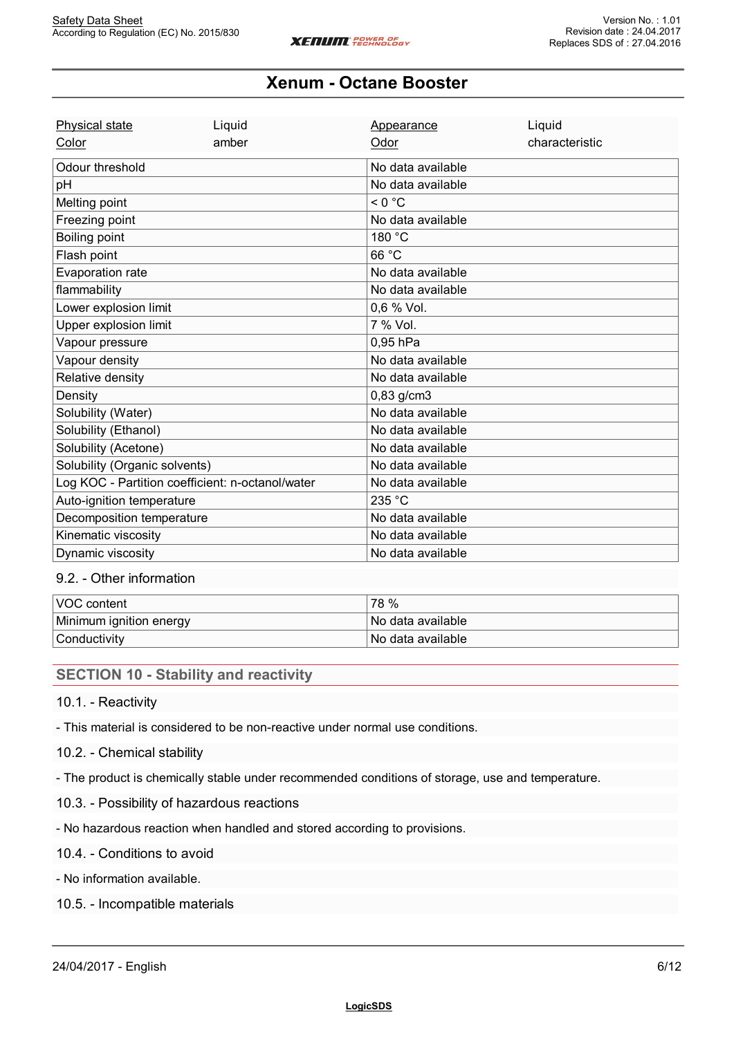| <b>Physical state</b>                            | Liquid | Appearance        | Liquid         |
|--------------------------------------------------|--------|-------------------|----------------|
| Color                                            | amber  | Odor              | characteristic |
| Odour threshold                                  |        | No data available |                |
| pH                                               |        | No data available |                |
| Melting point                                    |        | < 0 °C            |                |
| Freezing point                                   |        | No data available |                |
| Boiling point                                    |        | 180 °C            |                |
| Flash point                                      |        | 66 °C             |                |
| Evaporation rate                                 |        | No data available |                |
| flammability                                     |        | No data available |                |
| Lower explosion limit                            |        | 0,6 % Vol.        |                |
| Upper explosion limit                            |        | 7 % Vol.          |                |
| Vapour pressure                                  |        | 0.95 hPa          |                |
| Vapour density                                   |        | No data available |                |
| Relative density                                 |        | No data available |                |
| Density                                          |        | 0,83 g/cm3        |                |
| Solubility (Water)                               |        | No data available |                |
| Solubility (Ethanol)                             |        | No data available |                |
| Solubility (Acetone)                             |        | No data available |                |
| Solubility (Organic solvents)                    |        | No data available |                |
| Log KOC - Partition coefficient: n-octanol/water |        | No data available |                |
| Auto-ignition temperature                        |        | 235 °C            |                |
| Decomposition temperature                        |        | No data available |                |
| Kinematic viscosity                              |        | No data available |                |
| Dynamic viscosity                                |        | No data available |                |

## 9.2. - Other information

| l voc<br>content              | 78 %                   |
|-------------------------------|------------------------|
| Minimum ignition energy<br>J. | ∍ data available<br>No |
| Conductivity                  | No<br>data available › |

## **SECTION 10 - Stability and reactivity**

#### 10.1. - Reactivity

- This material is considered to be non-reactive under normal use conditions.

### 10.2. - Chemical stability

- The product is chemically stable under recommended conditions of storage, use and temperature.

- 10.3. Possibility of hazardous reactions
- No hazardous reaction when handled and stored according to provisions.
- 10.4. Conditions to avoid

- No information available.

10.5. - Incompatible materials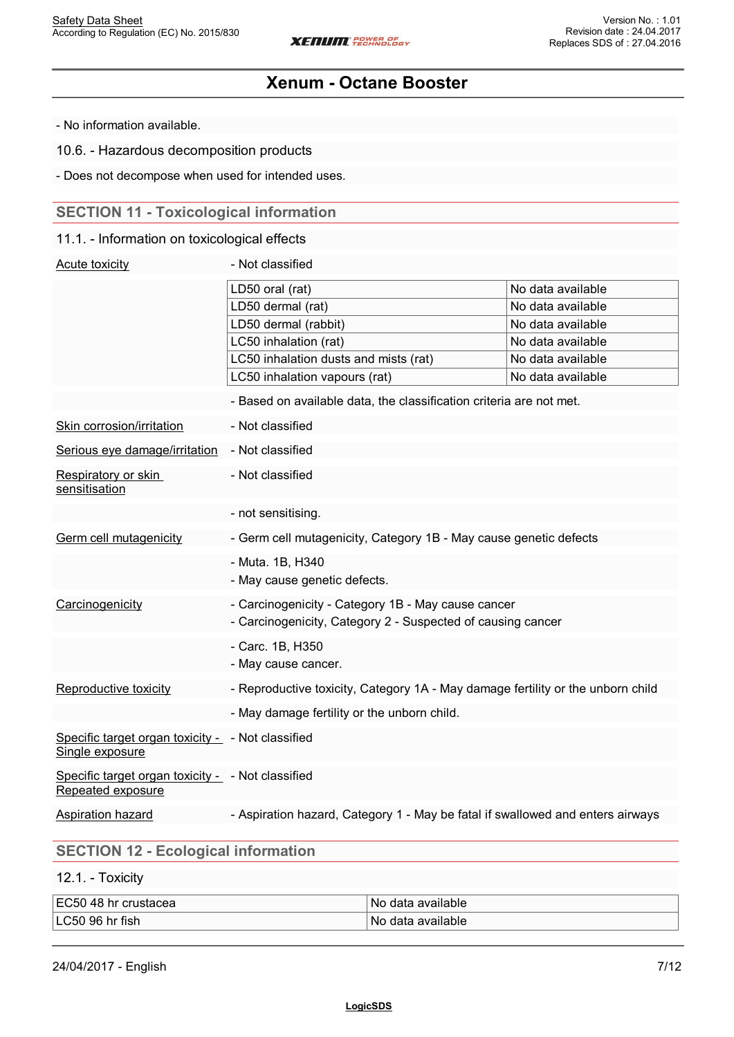- No information available.

10.6. - Hazardous decomposition products

- Does not decompose when used for intended uses.

# **SECTION 11 - Toxicological information**

### 11.1. - Information on toxicological effects

| Acute toxicity                                                         | - Not classified                                                                |                   |
|------------------------------------------------------------------------|---------------------------------------------------------------------------------|-------------------|
|                                                                        | LD50 oral (rat)                                                                 | No data available |
|                                                                        | LD50 dermal (rat)                                                               | No data available |
|                                                                        | LD50 dermal (rabbit)                                                            | No data available |
|                                                                        | LC50 inhalation (rat)                                                           | No data available |
|                                                                        | LC50 inhalation dusts and mists (rat)                                           | No data available |
|                                                                        | LC50 inhalation vapours (rat)                                                   | No data available |
|                                                                        | - Based on available data, the classification criteria are not met.             |                   |
| Skin corrosion/irritation                                              | - Not classified                                                                |                   |
| Serious eye damage/irritation                                          | - Not classified                                                                |                   |
| Respiratory or skin<br>sensitisation                                   | - Not classified                                                                |                   |
|                                                                        | - not sensitising.                                                              |                   |
| Germ cell mutagenicity                                                 | - Germ cell mutagenicity, Category 1B - May cause genetic defects               |                   |
|                                                                        | - Muta. 1B, H340                                                                |                   |
|                                                                        | - May cause genetic defects.                                                    |                   |
| Carcinogenicity                                                        | - Carcinogenicity - Category 1B - May cause cancer                              |                   |
|                                                                        | - Carcinogenicity, Category 2 - Suspected of causing cancer                     |                   |
|                                                                        | - Carc. 1B, H350                                                                |                   |
|                                                                        | - May cause cancer.                                                             |                   |
| Reproductive toxicity                                                  | - Reproductive toxicity, Category 1A - May damage fertility or the unborn child |                   |
|                                                                        | - May damage fertility or the unborn child.                                     |                   |
| Specific target organ toxicity - - Not classified<br>Single exposure   |                                                                                 |                   |
| Specific target organ toxicity - - Not classified<br>Repeated exposure |                                                                                 |                   |
| Aspiration hazard                                                      | - Aspiration hazard, Category 1 - May be fatal if swallowed and enters airways  |                   |
|                                                                        |                                                                                 |                   |

# **SECTION 12 - Ecological information**

12.1. - Toxicity

| EC50 48<br>₹hr crustacea | available<br>NC<br>data |
|--------------------------|-------------------------|
| LC50 96 hr fish          | available<br>NC<br>пата |

24/04/2017 - English 7/12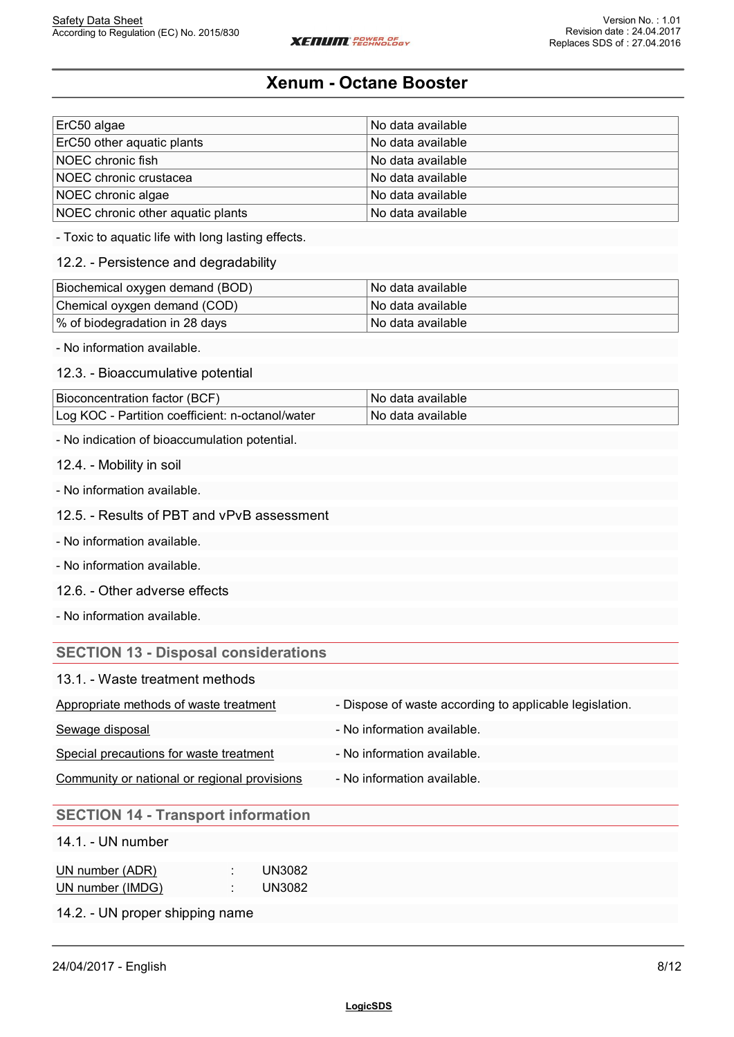| ErC50 algae                       | No data available |
|-----------------------------------|-------------------|
| ErC50 other aquatic plants        | No data available |
| NOEC chronic fish                 | No data available |
| NOEC chronic crustacea            | No data available |
| NOEC chronic algae                | No data available |
| NOEC chronic other aquatic plants | No data available |

- Toxic to aquatic life with long lasting effects.

### 12.2. - Persistence and degradability

| Biochemical oxygen demand (BOD) | ∣No data available l |
|---------------------------------|----------------------|
| Chemical oyxgen demand (COD)    | l No data available  |
| % of biodegradation in 28 days  | l No data available  |

- No information available.

### 12.3. - Bioaccumulative potential

| Bioconcentration factor (BCF)                    | 'No data available   |
|--------------------------------------------------|----------------------|
| Log KOC - Partition coefficient: n-octanol/water | ±No data available l |

- No indication of bioaccumulation potential.

12.4. - Mobility in soil

- No information available.

#### 12.5. - Results of PBT and vPvB assessment

- No information available.

- No information available.

12.6. - Other adverse effects

- No information available.

### **SECTION 13 - Disposal considerations**

| 13.1. - Waste treatment methods |  |
|---------------------------------|--|
|---------------------------------|--|

| Appropriate methods of waste treatment       | - Dispose of waste according to applicable legislation. |
|----------------------------------------------|---------------------------------------------------------|
| Sewage disposal                              | - No information available.                             |
| Special precautions for waste treatment      | - No information available.                             |
| Community or national or regional provisions | - No information available.                             |

### **SECTION 14 - Transport information**

14.1. - UN number

| UN number (ADR)  | UN3082        |
|------------------|---------------|
| UN number (IMDG) | <b>UN3082</b> |

14.2. - UN proper shipping name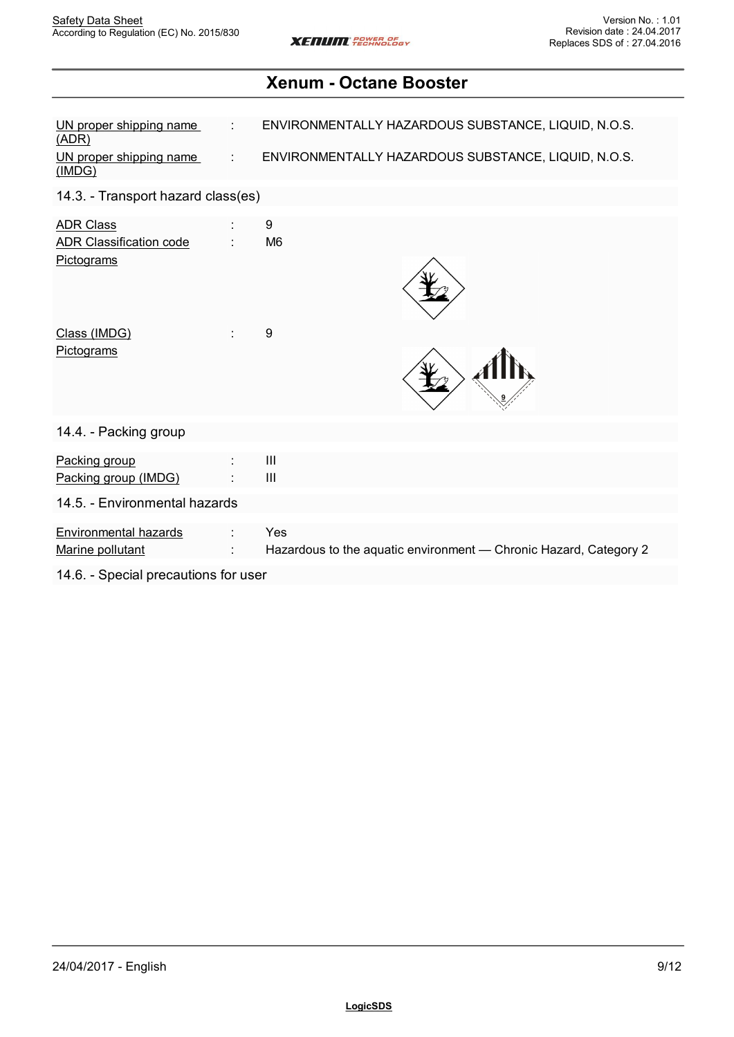| UN proper shipping name<br>(ADR)                                 | ENVIRONMENTALLY HAZARDOUS SUBSTANCE, LIQUID, N.O.S.                      |  |
|------------------------------------------------------------------|--------------------------------------------------------------------------|--|
| UN proper shipping name<br>(IMDG)                                | ENVIRONMENTALLY HAZARDOUS SUBSTANCE, LIQUID, N.O.S.                      |  |
| 14.3. - Transport hazard class(es)                               |                                                                          |  |
| <b>ADR Class</b><br><b>ADR Classification code</b><br>Pictograms | 9<br>M <sub>6</sub>                                                      |  |
| Class (IMDG)<br>Pictograms                                       | 9                                                                        |  |
| 14.4. - Packing group                                            |                                                                          |  |
| Packing group<br>Packing group (IMDG)                            | $\ensuremath{\mathsf{III}}\xspace$<br>$\mathbf{III}$                     |  |
| 14.5. - Environmental hazards                                    |                                                                          |  |
| <b>Environmental hazards</b><br>Marine pollutant                 | Yes<br>Hazardous to the aquatic environment - Chronic Hazard, Category 2 |  |
| 14.6. - Special precautions for user                             |                                                                          |  |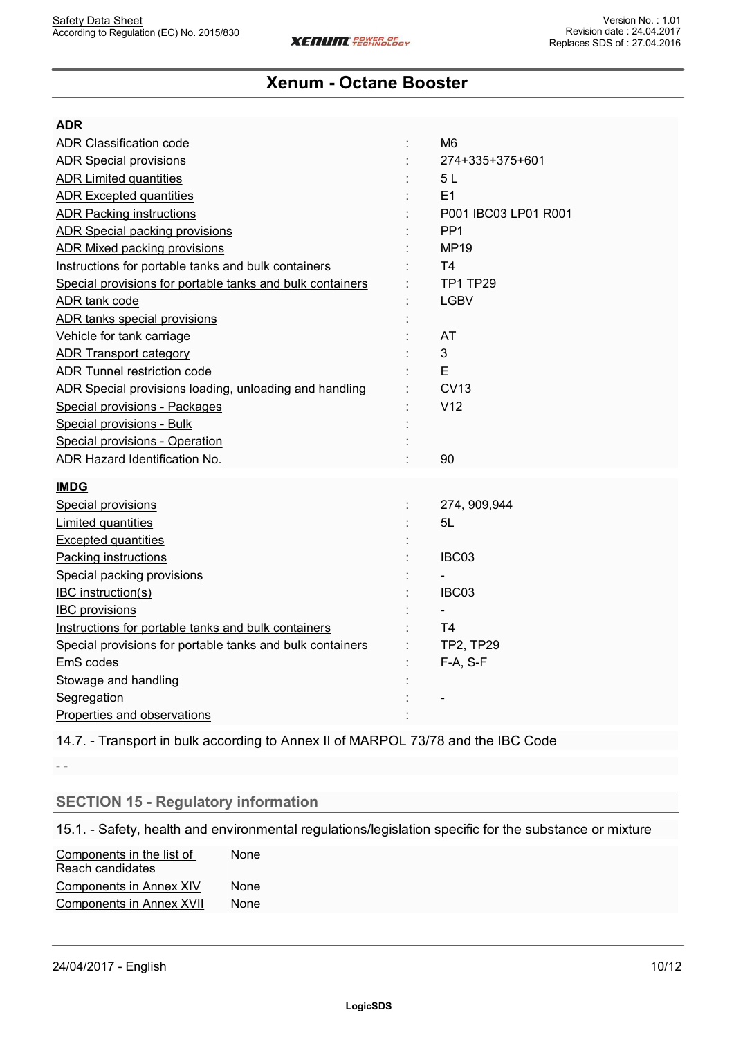| <b>ADR</b>                                                |                      |
|-----------------------------------------------------------|----------------------|
| <b>ADR Classification code</b>                            | M <sub>6</sub>       |
| <b>ADR Special provisions</b>                             | 274+335+375+601      |
| <b>ADR Limited quantities</b>                             | 5L                   |
| <b>ADR Excepted quantities</b>                            | E1                   |
| <b>ADR Packing instructions</b>                           | P001 IBC03 LP01 R001 |
| <b>ADR Special packing provisions</b>                     | PP <sub>1</sub>      |
| <b>ADR Mixed packing provisions</b>                       | <b>MP19</b>          |
| Instructions for portable tanks and bulk containers       | T <sub>4</sub>       |
| Special provisions for portable tanks and bulk containers | TP1 TP29             |
| ADR tank code                                             | <b>LGBV</b>          |
| ADR tanks special provisions                              |                      |
| Vehicle for tank carriage                                 | AT                   |
| <b>ADR Transport category</b>                             | 3                    |
| ADR Tunnel restriction code                               | E                    |
| ADR Special provisions loading, unloading and handling    | <b>CV13</b>          |
| Special provisions - Packages                             | V12                  |
| Special provisions - Bulk                                 |                      |
| Special provisions - Operation                            |                      |
| ADR Hazard Identification No.                             | 90                   |
|                                                           |                      |
| <b>IMDG</b>                                               |                      |
| Special provisions                                        | 274, 909, 944        |
| Limited quantities                                        | 5L                   |
| <b>Excepted quantities</b>                                |                      |
| <b>Packing instructions</b>                               | IBC03                |
| Special packing provisions                                |                      |
| <b>IBC</b> instruction(s)                                 | IBC03                |
| <b>IBC</b> provisions                                     |                      |
| Instructions for portable tanks and bulk containers       | T <sub>4</sub>       |
| Special provisions for portable tanks and bulk containers | <b>TP2, TP29</b>     |
| EmS codes                                                 | $F-A, S-F$           |
| Stowage and handling                                      |                      |
| Segregation                                               |                      |
| Properties and observations                               |                      |

14.7. - Transport in bulk according to Annex II of MARPOL 73/78 and the IBC Code

- -

## **SECTION 15 - Regulatory information**

15.1. - Safety, health and environmental regulations/legislation specific for the substance or mixture

Components in the list of None Reach candidates None with the contract of the contract of the contract of the contract of the contract of the contract of the contract of the contract of the contract of the contract of the contract of the contract of the contract of the Components in Annex XIV None Components in Annex XVII None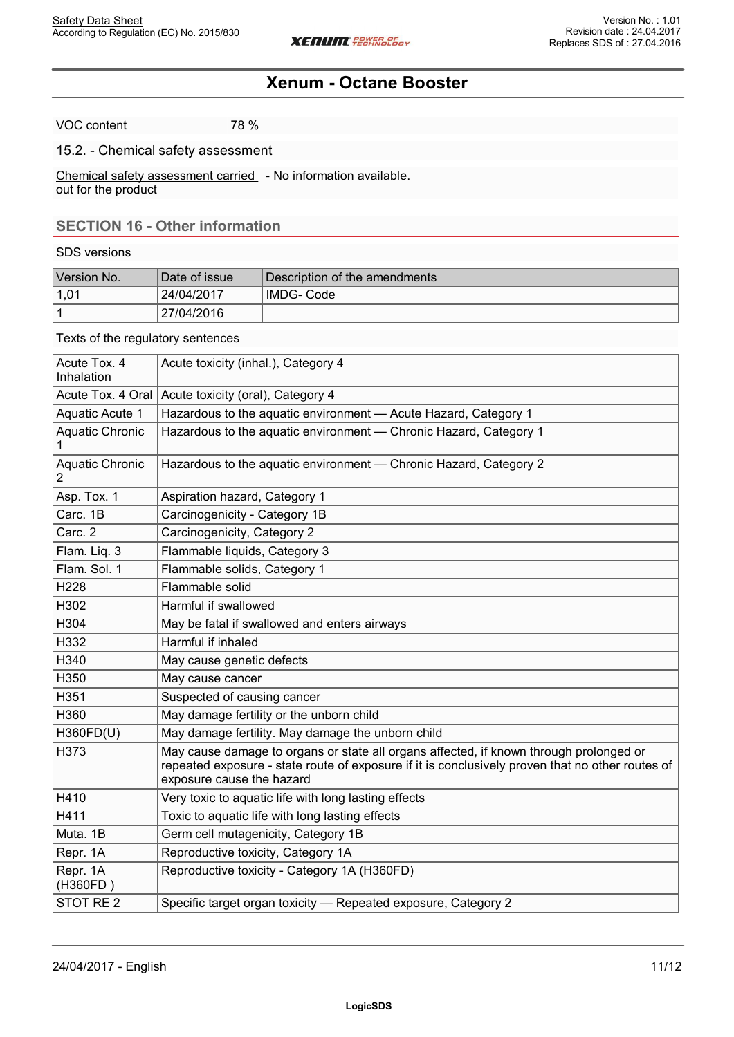VOC content 78 %

### 15.2. - Chemical safety assessment

Chemical safety assessment carried - No information available. out for the product

## **SECTION 16 - Other information**

#### SDS versions

| Version No. | Date of issue | Description of the amendments |
|-------------|---------------|-------------------------------|
| 1.01        | 24/04/2017    | IMDG- Code                    |
|             | 27/04/2016    |                               |

### Texts of the regulatory sentences

| Acute Tox. 4<br>Inhalation        | Acute toxicity (inhal.), Category 4                                                                                                                                                                                     |
|-----------------------------------|-------------------------------------------------------------------------------------------------------------------------------------------------------------------------------------------------------------------------|
| Acute Tox. 4 Oral                 | Acute toxicity (oral), Category 4                                                                                                                                                                                       |
| Aquatic Acute 1                   | Hazardous to the aquatic environment - Acute Hazard, Category 1                                                                                                                                                         |
| Aquatic Chronic                   | Hazardous to the aquatic environment - Chronic Hazard, Category 1                                                                                                                                                       |
| Aquatic Chronic<br>$\overline{2}$ | Hazardous to the aquatic environment - Chronic Hazard, Category 2                                                                                                                                                       |
| Asp. Tox. 1                       | Aspiration hazard, Category 1                                                                                                                                                                                           |
| Carc. 1B                          | Carcinogenicity - Category 1B                                                                                                                                                                                           |
| Carc. 2                           | Carcinogenicity, Category 2                                                                                                                                                                                             |
| Flam. Liq. 3                      | Flammable liquids, Category 3                                                                                                                                                                                           |
| Flam. Sol. 1                      | Flammable solids, Category 1                                                                                                                                                                                            |
| H228                              | Flammable solid                                                                                                                                                                                                         |
| H302                              | Harmful if swallowed                                                                                                                                                                                                    |
| H304                              | May be fatal if swallowed and enters airways                                                                                                                                                                            |
| H332                              | Harmful if inhaled                                                                                                                                                                                                      |
| H340                              | May cause genetic defects                                                                                                                                                                                               |
| H350                              | May cause cancer                                                                                                                                                                                                        |
| H351                              | Suspected of causing cancer                                                                                                                                                                                             |
| H360                              | May damage fertility or the unborn child                                                                                                                                                                                |
| H360FD(U)                         | May damage fertility. May damage the unborn child                                                                                                                                                                       |
| H373                              | May cause damage to organs or state all organs affected, if known through prolonged or<br>repeated exposure - state route of exposure if it is conclusively proven that no other routes of<br>exposure cause the hazard |
| H410                              | Very toxic to aquatic life with long lasting effects                                                                                                                                                                    |
| H411                              | Toxic to aquatic life with long lasting effects                                                                                                                                                                         |
| Muta. 1B                          | Germ cell mutagenicity, Category 1B                                                                                                                                                                                     |
| Repr. 1A                          | Reproductive toxicity, Category 1A                                                                                                                                                                                      |
| Repr. 1A<br>(H360FD)              | Reproductive toxicity - Category 1A (H360FD)                                                                                                                                                                            |
| STOT RE <sub>2</sub>              | Specific target organ toxicity - Repeated exposure, Category 2                                                                                                                                                          |
|                                   |                                                                                                                                                                                                                         |